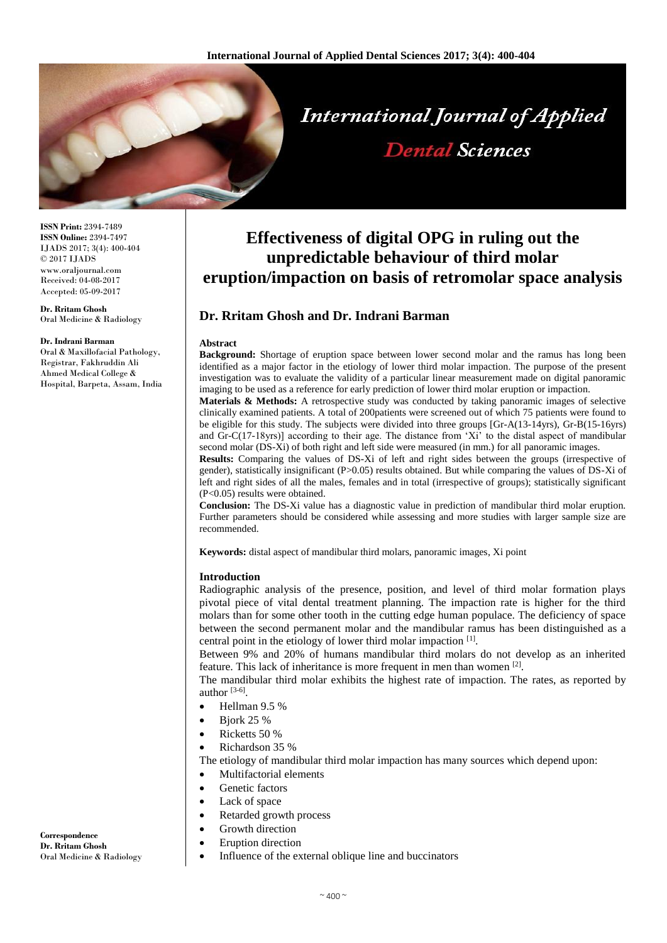

**ISSN Print:** 2394-7489 **ISSN Online:** 2394-7497 IJADS 2017; 3(4): 400-404 © 2017 IJADS www.oraljournal.com Received: 04-08-2017 Accepted: 05-09-2017

## **Dr. Rritam Ghosh**

Oral Medicine & Radiology

#### **Dr. Indrani Barman**

Oral & Maxillofacial Pathology, Registrar, Fakhruddin Ali Ahmed Medical College & Hospital, Barpeta, Assam, India

# **Effectiveness of digital OPG in ruling out the unpredictable behaviour of third molar eruption/impaction on basis of retromolar space analysis**

## **Dr. Rritam Ghosh and Dr. Indrani Barman**

#### **Abstract**

**Background:** Shortage of eruption space between lower second molar and the ramus has long been identified as a major factor in the etiology of lower third molar impaction. The purpose of the present investigation was to evaluate the validity of a particular linear measurement made on digital panoramic imaging to be used as a reference for early prediction of lower third molar eruption or impaction.

**Materials & Methods:** A retrospective study was conducted by taking panoramic images of selective clinically examined patients. A total of 200patients were screened out of which 75 patients were found to be eligible for this study. The subjects were divided into three groups [Gr-A(13-14yrs), Gr-B(15-16yrs) and Gr-C(17-18yrs)] according to their age. The distance from 'Xi' to the distal aspect of mandibular second molar (DS-Xi) of both right and left side were measured (in mm.) for all panoramic images.

**Results:** Comparing the values of DS-Xi of left and right sides between the groups (irrespective of gender), statistically insignificant (P>0.05) results obtained. But while comparing the values of DS-Xi of left and right sides of all the males, females and in total (irrespective of groups); statistically significant (P<0.05) results were obtained.

**Conclusion:** The DS-Xi value has a diagnostic value in prediction of mandibular third molar eruption. Further parameters should be considered while assessing and more studies with larger sample size are recommended.

**Keywords:** distal aspect of mandibular third molars, panoramic images, Xi point

#### **Introduction**

Radiographic analysis of the presence, position, and level of third molar formation plays pivotal piece of vital dental treatment planning. The impaction rate is higher for the third molars than for some other tooth in the cutting edge human populace. The deficiency of space between the second permanent molar and the mandibular ramus has been distinguished as a central point in the etiology of lower third molar impaction [1].

Between 9% and 20% of humans mandibular third molars do not develop as an inherited feature. This lack of inheritance is more frequent in men than women [2].

The mandibular third molar exhibits the highest rate of impaction. The rates, as reported by author  $[3-6]$ .

- $\bullet$  Hellman 9.5 %
- $\bullet$  Biork 25 %
- Ricketts 50 %
- Richardson 35 %

The etiology of mandibular third molar impaction has many sources which depend upon:

- Multifactorial elements
- Genetic factors
- Lack of space
- Retarded growth process
- Growth direction
- Eruption direction
- Influence of the external oblique line and buccinators

**Correspondence Dr. Rritam Ghosh** Oral Medicine & Radiology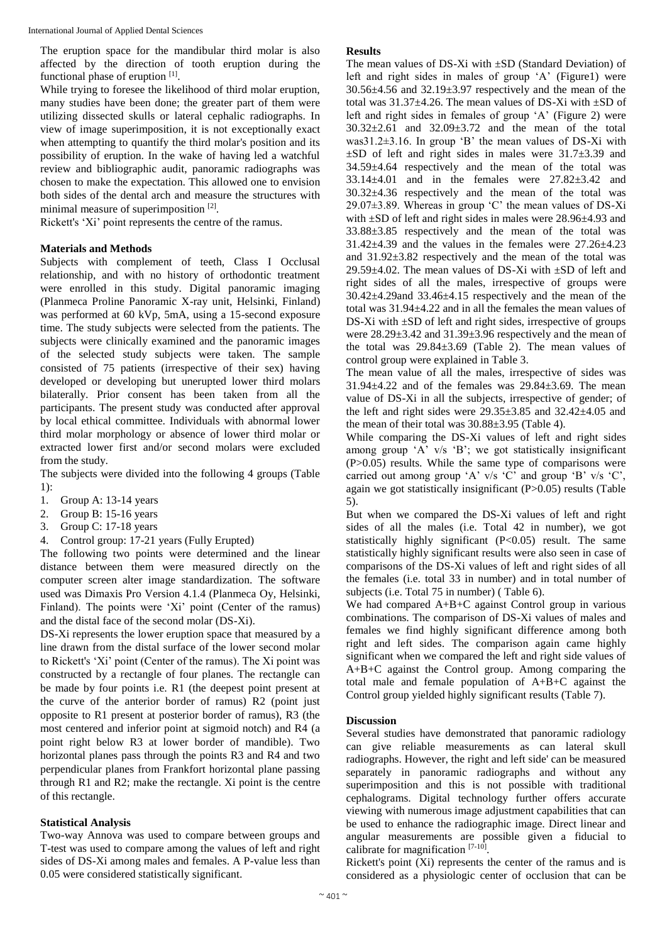The eruption space for the mandibular third molar is also affected by the direction of tooth eruption during the functional phase of eruption [1].

While trying to foresee the likelihood of third molar eruption, many studies have been done; the greater part of them were utilizing dissected skulls or lateral cephalic radiographs. In view of image superimposition, it is not exceptionally exact when attempting to quantify the third molar's position and its possibility of eruption. In the wake of having led a watchful review and bibliographic audit, panoramic radiographs was chosen to make the expectation. This allowed one to envision both sides of the dental arch and measure the structures with minimal measure of superimposition [2].

Rickett's 'Xi' point represents the centre of the ramus.

#### **Materials and Methods**

Subjects with complement of teeth, Class I Occlusal relationship, and with no history of orthodontic treatment were enrolled in this study. Digital panoramic imaging (Planmeca Proline Panoramic X-ray unit, Helsinki, Finland) was performed at 60 kVp, 5mA, using a 15-second exposure time. The study subjects were selected from the patients. The subjects were clinically examined and the panoramic images of the selected study subjects were taken. The sample consisted of 75 patients (irrespective of their sex) having developed or developing but unerupted lower third molars bilaterally. Prior consent has been taken from all the participants. The present study was conducted after approval by local ethical committee. Individuals with abnormal lower third molar morphology or absence of lower third molar or extracted lower first and/or second molars were excluded from the study.

The subjects were divided into the following 4 groups (Table 1):

- 1. Group A: 13-14 years
- 2. Group B: 15-16 years
- 3. Group C: 17-18 years
- 4. Control group: 17-21 years (Fully Erupted)

The following two points were determined and the linear distance between them were measured directly on the computer screen alter image standardization. The software used was Dimaxis Pro Version 4.1.4 (Planmeca Oy, Helsinki, Finland). The points were 'Xi' point (Center of the ramus) and the distal face of the second molar (DS-Xi).

DS-Xi represents the lower eruption space that measured by a line drawn from the distal surface of the lower second molar to Rickett's 'Xi' point (Center of the ramus). The Xi point was constructed by a rectangle of four planes. The rectangle can be made by four points i.e. R1 (the deepest point present at the curve of the anterior border of ramus) R2 (point just opposite to R1 present at posterior border of ramus), R3 (the most centered and inferior point at sigmoid notch) and R4 (a point right below R3 at lower border of mandible). Two horizontal planes pass through the points R3 and R4 and two perpendicular planes from Frankfort horizontal plane passing through R1 and R2; make the rectangle. Xi point is the centre of this rectangle.

## **Statistical Analysis**

Two-way Annova was used to compare between groups and T-test was used to compare among the values of left and right sides of DS-Xi among males and females. A P-value less than 0.05 were considered statistically significant.

#### **Results**

The mean values of DS-Xi with  $\pm SD$  (Standard Deviation) of left and right sides in males of group 'A' (Figure1) were 30.56±4.56 and 32.19±3.97 respectively and the mean of the total was  $31.37\pm4.26$ . The mean values of DS-Xi with  $\pm$ SD of left and right sides in females of group 'A' (Figure 2) were 30.32±2.61 and 32.09±3.72 and the mean of the total was31.2±3.16. In group 'B' the mean values of DS-Xi with  $\pm$ SD of left and right sides in males were 31.7 $\pm$ 3.39 and  $34.59\pm4.64$  respectively and the mean of the total was 33.14±4.01 and in the females were 27.82±3.42 and 30.32±4.36 respectively and the mean of the total was 29.07±3.89. Whereas in group 'C' the mean values of DS-Xi with  $\pm$ SD of left and right sides in males were 28.96 $\pm$ 4.93 and 33.88±3.85 respectively and the mean of the total was  $31.42\pm4.39$  and the values in the females were  $27.26\pm4.23$ and 31.92±3.82 respectively and the mean of the total was 29.59 $\pm$ 4.02. The mean values of DS-Xi with  $\pm$ SD of left and right sides of all the males, irrespective of groups were  $30.42\pm4.29$  and  $33.46\pm4.15$  respectively and the mean of the total was 31.94±4.22 and in all the females the mean values of DS-Xi with  $\pm$ SD of left and right sides, irrespective of groups were  $28.29 \pm 3.42$  and  $31.39 \pm 3.96$  respectively and the mean of the total was  $29.84 \pm 3.69$  (Table 2). The mean values of control group were explained in Table 3.

The mean value of all the males, irrespective of sides was 31.94±4.22 and of the females was 29.84±3.69. The mean value of DS-Xi in all the subjects, irrespective of gender; of the left and right sides were  $29.35\pm3.85$  and  $32.42\pm4.05$  and the mean of their total was  $30.88\pm3.95$  (Table 4).

While comparing the DS-Xi values of left and right sides among group 'A' v/s 'B'; we got statistically insignificant (P>0.05) results. While the same type of comparisons were carried out among group 'A' v/s 'C' and group 'B' v/s 'C', again we got statistically insignificant (P>0.05) results (Table 5).

But when we compared the DS-Xi values of left and right sides of all the males (i.e. Total 42 in number), we got statistically highly significant (P<0.05) result. The same statistically highly significant results were also seen in case of comparisons of the DS-Xi values of left and right sides of all the females (i.e. total 33 in number) and in total number of subjects (i.e. Total 75 in number) ( Table 6).

We had compared A+B+C against Control group in various combinations. The comparison of DS-Xi values of males and females we find highly significant difference among both right and left sides. The comparison again came highly significant when we compared the left and right side values of A+B+C against the Control group. Among comparing the total male and female population of A+B+C against the Control group yielded highly significant results (Table 7).

## **Discussion**

Several studies have demonstrated that panoramic radiology can give reliable measurements as can lateral skull radiographs. However, the right and left side' can be measured separately in panoramic radiographs and without any superimposition and this is not possible with traditional cephalograms. Digital technology further offers accurate viewing with numerous image adjustment capabilities that can be used to enhance the radiographic image. Direct linear and angular measurements are possible given a fiducial to calibrate for magnification  $[7-10]$ .

Rickett's point (Xi) represents the center of the ramus and is considered as a physiologic center of occlusion that can be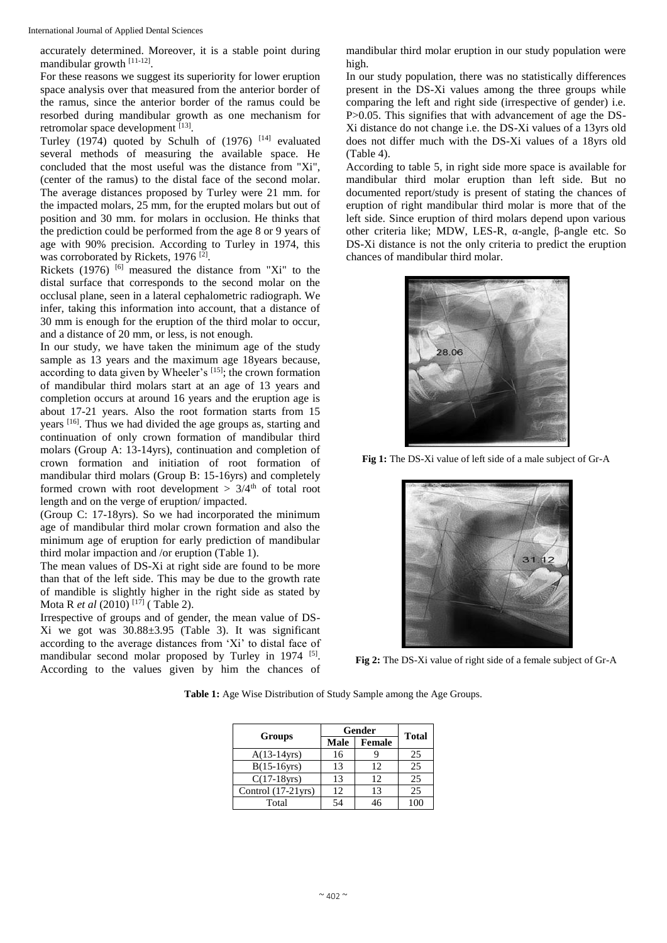accurately determined. Moreover, it is a stable point during mandibular growth [11-12].

For these reasons we suggest its superiority for lower eruption space analysis over that measured from the anterior border of the ramus, since the anterior border of the ramus could be resorbed during mandibular growth as one mechanism for retromolar space development [13].

Turley (1974) quoted by Schulh of  $(1976)$ <sup>[14]</sup> evaluated several methods of measuring the available space. He concluded that the most useful was the distance from "Xi", (center of the ramus) to the distal face of the second molar. The average distances proposed by Turley were 21 mm. for the impacted molars, 25 mm, for the erupted molars but out of position and 30 mm. for molars in occlusion. He thinks that the prediction could be performed from the age 8 or 9 years of age with 90% precision. According to Turley in 1974, this was corroborated by Rickets, 1976<sup>[2]</sup>.

Rickets (1976)  $[6]$  measured the distance from "Xi" to the distal surface that corresponds to the second molar on the occlusal plane, seen in a lateral cephalometric radiograph. We infer, taking this information into account, that a distance of 30 mm is enough for the eruption of the third molar to occur, and a distance of 20 mm, or less, is not enough.

In our study, we have taken the minimum age of the study sample as 13 years and the maximum age 18years because, according to data given by Wheeler's [15]; the crown formation of mandibular third molars start at an age of 13 years and completion occurs at around 16 years and the eruption age is about 17-21 years. Also the root formation starts from 15 years [16]. Thus we had divided the age groups as, starting and continuation of only crown formation of mandibular third molars (Group A: 13-14yrs), continuation and completion of crown formation and initiation of root formation of mandibular third molars (Group B: 15-16yrs) and completely formed crown with root development  $> 3/4<sup>th</sup>$  of total root length and on the verge of eruption/ impacted.

(Group C: 17-18yrs). So we had incorporated the minimum age of mandibular third molar crown formation and also the minimum age of eruption for early prediction of mandibular third molar impaction and /or eruption (Table 1).

The mean values of DS-Xi at right side are found to be more than that of the left side. This may be due to the growth rate of mandible is slightly higher in the right side as stated by Mota R *et al* (2010)<sup>[17]</sup> (Table 2).

Irrespective of groups and of gender, the mean value of DS-Xi we got was 30.88±3.95 (Table 3). It was significant according to the average distances from 'Xi' to distal face of mandibular second molar proposed by Turley in 1974 <sup>[5]</sup>. According to the values given by him the chances of

mandibular third molar eruption in our study population were high.

In our study population, there was no statistically differences present in the DS-Xi values among the three groups while comparing the left and right side (irrespective of gender) i.e. P>0.05. This signifies that with advancement of age the DS-Xi distance do not change i.e. the DS-Xi values of a 13yrs old does not differ much with the DS-Xi values of a 18yrs old (Table 4).

According to table 5, in right side more space is available for mandibular third molar eruption than left side. But no documented report/study is present of stating the chances of eruption of right mandibular third molar is more that of the left side. Since eruption of third molars depend upon various other criteria like; MDW, LES-R, α-angle, β-angle etc. So DS-Xi distance is not the only criteria to predict the eruption chances of mandibular third molar.



**Fig 1:** The DS-Xi value of left side of a male subject of Gr-A



**Fig 2:** The DS-Xi value of right side of a female subject of Gr-A

|                       | Gender | <b>Total</b> |    |
|-----------------------|--------|--------------|----|
| Groups                | Male   | Female       |    |
| $A(13-14yrs)$         | 16     |              | 25 |
| $B(15-16yrs)$         | 13     | 12           | 25 |
| $C(17-18\text{yrs})$  | 13     | 12           | 25 |
| Control $(17-21$ yrs) | 12     | 13           | 25 |
| Total                 |        |              |    |

**Table 1:** Age Wise Distribution of Study Sample among the Age Groups.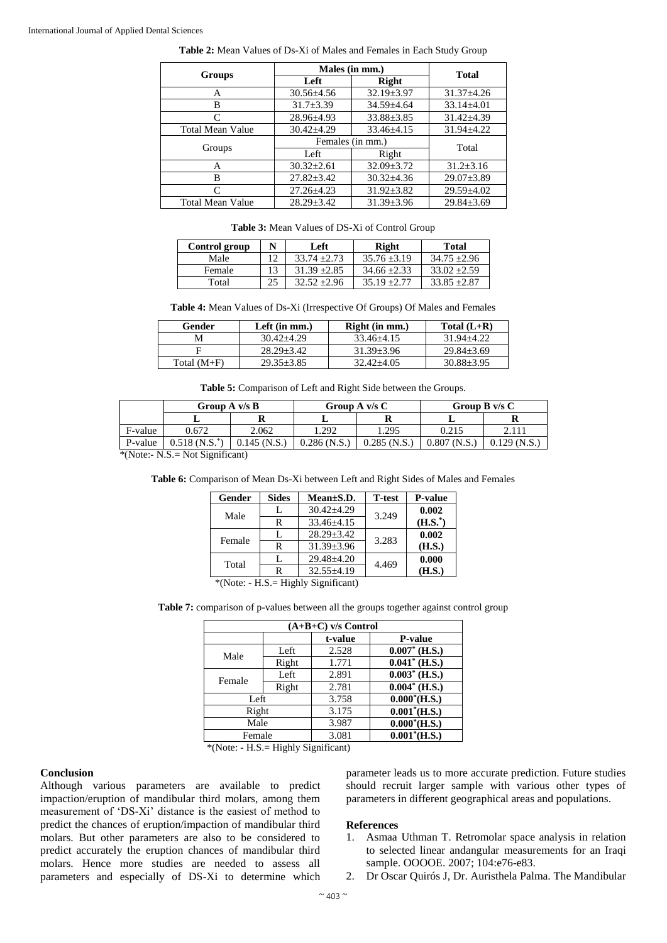|                         | Males (in mm.)   | <b>Total</b>     |                  |
|-------------------------|------------------|------------------|------------------|
| Groups                  | Left             | <b>Right</b>     |                  |
| A                       | $30.56 \pm 4.56$ | $32.19 \pm 3.97$ | $31.37 \pm 4.26$ |
| В                       | $31.7 \pm 3.39$  | $34.59 \pm 4.64$ | $33.14 \pm 4.01$ |
| C                       | $28.96 \pm 4.93$ | $33.88 \pm 3.85$ | $31.42 \pm 4.39$ |
| <b>Total Mean Value</b> | $30.42 \pm 4.29$ | $33.46 \pm 4.15$ | $31.94 \pm 4.22$ |
|                         | Females (in mm.) | Total            |                  |
| Groups                  | Left             | Right            |                  |
| A                       | $30.32 \pm 2.61$ | $32.09 \pm 3.72$ | $31.2 \pm 3.16$  |
| B                       | $27.82 \pm 3.42$ | $30.32 \pm 4.36$ | $29.07 \pm 3.89$ |
| C                       | $27.26 \pm 4.23$ | $31.92 \pm 3.82$ | $29.59 \pm 4.02$ |
| <b>Total Mean Value</b> | $28.29 \pm 3.42$ | $31.39 \pm 3.96$ | $29.84 \pm 3.69$ |

**Table 2:** Mean Values of Ds-Xi of Males and Females in Each Study Group

**Table 3:** Mean Values of DS-Xi of Control Group

| Control group | Left           | Right          | <b>Total</b>     |
|---------------|----------------|----------------|------------------|
| Male          | $33.74 + 2.73$ | $35.76 + 3.19$ | $34.75 + 2.96$   |
| Female        | $31.39 + 2.85$ | $34.66 + 2.33$ | $33.02 + 2.59$   |
| Total         | $32.52 + 2.96$ | $35.19 + 2.77$ | $33.85 \pm 2.87$ |

**Table 4:** Mean Values of Ds-Xi (Irrespective Of Groups) Of Males and Females

| Gender        | Left $(in mm.)$  | Right (in mm.) | Total $(L+R)$    |
|---------------|------------------|----------------|------------------|
| M             | $30.42 + 4.29$   | $33.46 + 4.15$ | 31.94+4.22       |
|               | $28.29 + 3.42$   | $31.39 + 3.96$ | $29.84 \pm 3.69$ |
| Total $(M+F)$ | $29.35 \pm 3.85$ | $32.42 + 4.05$ | $30.88 \pm 3.95$ |

**Table 5:** Comparison of Left and Right Side between the Groups.

|         | Group $A \, v/s \, B$ |                |               | Group A $v/s C$ |       | Group $B \, v/s \, C$ |
|---------|-----------------------|----------------|---------------|-----------------|-------|-----------------------|
|         |                       |                |               |                 |       |                       |
| F-value | 0.672                 | 2.062          | .292          | 1.295           | 0.215 |                       |
| P-value | $0.518(N.S.^*)$       | $0.145$ (N.S.) | $0.286$ (N.S. | $0.285$ (N.S.)  | 0.807 | $0.129$ (N.S.)        |

\*(Note:- N.S.= Not Significant)

|  | Table 6: Comparison of Mean Ds-Xi between Left and Right Sides of Males and Females |  |  |  |  |
|--|-------------------------------------------------------------------------------------|--|--|--|--|
|  |                                                                                     |  |  |  |  |

| Gender                                | <b>Sides</b> | $Mean \pm S.D.$  | <b>T</b> -test | <b>P-value</b> |  |  |
|---------------------------------------|--------------|------------------|----------------|----------------|--|--|
| Male                                  | L            | $30.42 \pm 4.29$ | 3.249          | 0.002          |  |  |
|                                       | R            | $33.46 \pm 4.15$ |                | $(H.S.^*)$     |  |  |
| Female                                | L            | $28.29 \pm 3.42$ | 3.283          | 0.002          |  |  |
|                                       | R            | $31.39 + 3.96$   |                | (H.S.)         |  |  |
| Total                                 | L            | $29.48 + 4.20$   | 4.469          | 0.000          |  |  |
|                                       | R            | $32.55 \pm 4.19$ |                | (H.S.)         |  |  |
| $*(Note: - H.S = Highly Significant)$ |              |                  |                |                |  |  |

Table 7: comparison of p-values between all the groups together against control group

| $(A+B+C)$ v/s Control |       |         |                  |  |  |
|-----------------------|-------|---------|------------------|--|--|
|                       |       | t-value | <b>P-value</b>   |  |  |
| Male                  | Left  | 2.528   | $0.007^*$ (H.S.) |  |  |
|                       | Right | 1.771   | $0.041^*$ (H.S.) |  |  |
|                       | Left  | 2.891   | $0.003^*$ (H.S.) |  |  |
| Female                | Right | 2.781   | $0.004*$ (H.S.)  |  |  |
| Left                  |       | 3.758   | $0.000^*(H.S.)$  |  |  |
| Right                 |       | 3.175   | $0.001^*(H.S.)$  |  |  |
| Male                  |       | 3.987   | $0.000^*(H.S.)$  |  |  |
| Female                |       | 3.081   | $0.001^*(H.S.)$  |  |  |

\*(Note: - H.S.= Highly Significant)

#### **Conclusion**

Although various parameters are available to predict impaction/eruption of mandibular third molars, among them measurement of 'DS-Xi' distance is the easiest of method to predict the chances of eruption/impaction of mandibular third molars. But other parameters are also to be considered to predict accurately the eruption chances of mandibular third molars. Hence more studies are needed to assess all parameters and especially of DS-Xi to determine which parameter leads us to more accurate prediction. Future studies should recruit larger sample with various other types of parameters in different geographical areas and populations.

#### **References**

- 1. Asmaa Uthman T. Retromolar space analysis in relation to selected linear andangular measurements for an Iraqi sample. OOOOE. 2007; 104:e76-e83.
- 2. Dr Oscar Quirós J, Dr. Auristhela Palma. The Mandibular